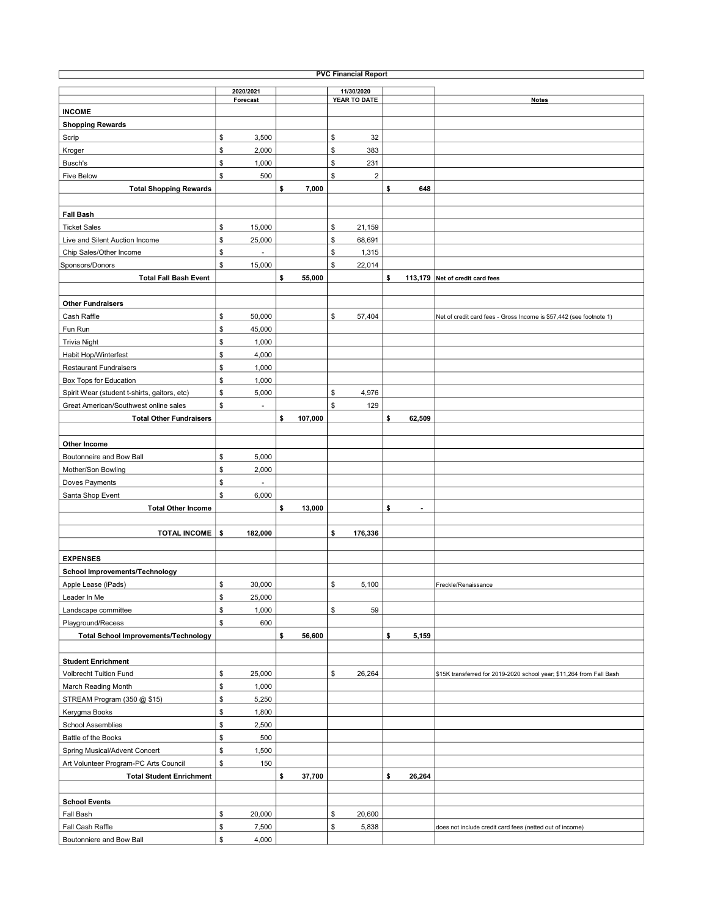| <b>PVC Financial Report</b>                  |           |          |    |         |            |                         |    |                |                                                                      |  |  |
|----------------------------------------------|-----------|----------|----|---------|------------|-------------------------|----|----------------|----------------------------------------------------------------------|--|--|
|                                              | 2020/2021 |          |    |         | 11/30/2020 |                         |    |                |                                                                      |  |  |
|                                              |           | Forecast |    |         |            | YEAR TO DATE            |    |                | <b>Notes</b>                                                         |  |  |
| <b>INCOME</b>                                |           |          |    |         |            |                         |    |                |                                                                      |  |  |
| <b>Shopping Rewards</b>                      |           |          |    |         |            |                         |    |                |                                                                      |  |  |
| Scrip                                        | \$        | 3,500    |    |         | \$         | 32                      |    |                |                                                                      |  |  |
| Kroger                                       | \$        | 2,000    |    |         | \$         | 383                     |    |                |                                                                      |  |  |
| Busch's                                      | \$        | 1,000    |    |         | \$         | 231                     |    |                |                                                                      |  |  |
| <b>Five Below</b>                            | \$        | 500      |    |         | \$         | $\overline{\mathbf{c}}$ |    |                |                                                                      |  |  |
| <b>Total Shopping Rewards</b>                |           |          | \$ | 7,000   |            |                         | \$ | 648            |                                                                      |  |  |
|                                              |           |          |    |         |            |                         |    |                |                                                                      |  |  |
| <b>Fall Bash</b>                             |           |          |    |         |            |                         |    |                |                                                                      |  |  |
| <b>Ticket Sales</b>                          | \$        | 15,000   |    |         | \$         | 21,159                  |    |                |                                                                      |  |  |
| Live and Silent Auction Income               | \$        | 25,000   |    |         | \$         | 68,691                  |    |                |                                                                      |  |  |
| Chip Sales/Other Income                      | \$        |          |    |         | \$         | 1,315                   |    |                |                                                                      |  |  |
| Sponsors/Donors                              | \$        | 15,000   |    |         | \$         | 22,014                  |    |                |                                                                      |  |  |
| <b>Total Fall Bash Event</b>                 |           |          | \$ | 55,000  |            |                         | \$ |                | 113,179 Net of credit card fees                                      |  |  |
|                                              |           |          |    |         |            |                         |    |                |                                                                      |  |  |
| <b>Other Fundraisers</b>                     |           |          |    |         |            |                         |    |                |                                                                      |  |  |
| Cash Raffle                                  | \$        | 50,000   |    |         | \$         | 57,404                  |    |                | Net of credit card fees - Gross Income is \$57,442 (see footnote 1)  |  |  |
| Fun Run                                      | \$        | 45,000   |    |         |            |                         |    |                |                                                                      |  |  |
| <b>Trivia Night</b>                          | \$        | 1,000    |    |         |            |                         |    |                |                                                                      |  |  |
| Habit Hop/Winterfest                         | \$        | 4,000    |    |         |            |                         |    |                |                                                                      |  |  |
| <b>Restaurant Fundraisers</b>                | \$        | 1,000    |    |         |            |                         |    |                |                                                                      |  |  |
| Box Tops for Education                       | \$        | 1,000    |    |         |            |                         |    |                |                                                                      |  |  |
| Spirit Wear (student t-shirts, gaitors, etc) | \$        | 5,000    |    |         | \$         | 4,976                   |    |                |                                                                      |  |  |
| Great American/Southwest online sales        | \$        | ä,       |    |         | \$         | 129                     |    |                |                                                                      |  |  |
| <b>Total Other Fundraisers</b>               |           |          | \$ | 107,000 |            |                         | \$ | 62,509         |                                                                      |  |  |
|                                              |           |          |    |         |            |                         |    |                |                                                                      |  |  |
|                                              |           |          |    |         |            |                         |    |                |                                                                      |  |  |
| Other Income                                 |           |          |    |         |            |                         |    |                |                                                                      |  |  |
| Boutonneire and Bow Ball                     | \$        | 5,000    |    |         |            |                         |    |                |                                                                      |  |  |
| Mother/Son Bowling                           | \$        | 2,000    |    |         |            |                         |    |                |                                                                      |  |  |
| Doves Payments                               | \$        |          |    |         |            |                         |    |                |                                                                      |  |  |
| Santa Shop Event                             | \$        | 6,000    |    |         |            |                         |    |                |                                                                      |  |  |
| <b>Total Other Income</b>                    |           |          | \$ | 13,000  |            |                         | \$ | $\blacksquare$ |                                                                      |  |  |
|                                              |           |          |    |         |            |                         |    |                |                                                                      |  |  |
| <b>TOTAL INCOME</b>                          | \$        | 182,000  |    |         | \$         | 176,336                 |    |                |                                                                      |  |  |
|                                              |           |          |    |         |            |                         |    |                |                                                                      |  |  |
| <b>EXPENSES</b>                              |           |          |    |         |            |                         |    |                |                                                                      |  |  |
| School Improvements/Technology               |           |          |    |         |            |                         |    |                |                                                                      |  |  |
| Apple Lease (iPads)                          | \$        | 30,000   |    |         | \$         | 5,100                   |    |                | Freckle/Renaissance                                                  |  |  |
| Leader In Me                                 | \$        | 25,000   |    |         |            |                         |    |                |                                                                      |  |  |
| Landscape committee                          | \$        | 1,000    |    |         | \$         | 59                      |    |                |                                                                      |  |  |
| Playground/Recess                            | \$        | 600      |    |         |            |                         |    |                |                                                                      |  |  |
| <b>Total School Improvements/Technology</b>  |           |          | \$ | 56,600  |            |                         | \$ | 5,159          |                                                                      |  |  |
|                                              |           |          |    |         |            |                         |    |                |                                                                      |  |  |
| <b>Student Enrichment</b>                    |           |          |    |         |            |                         |    |                |                                                                      |  |  |
| <b>Volbrecht Tuition Fund</b>                | \$        | 25,000   |    |         | \$         | 26,264                  |    |                | \$15K transferred for 2019-2020 school year; \$11,264 from Fall Bash |  |  |
| March Reading Month                          | \$        | 1,000    |    |         |            |                         |    |                |                                                                      |  |  |
| STREAM Program (350 @ \$15)                  | \$        | 5,250    |    |         |            |                         |    |                |                                                                      |  |  |
| Kerygma Books                                | \$        | 1,800    |    |         |            |                         |    |                |                                                                      |  |  |
| <b>School Assemblies</b>                     | \$        | 2,500    |    |         |            |                         |    |                |                                                                      |  |  |
| Battle of the Books                          | \$        | 500      |    |         |            |                         |    |                |                                                                      |  |  |
| Spring Musical/Advent Concert                | \$        | 1,500    |    |         |            |                         |    |                |                                                                      |  |  |
| Art Volunteer Program-PC Arts Council        | \$        | 150      |    |         |            |                         |    |                |                                                                      |  |  |
| <b>Total Student Enrichment</b>              |           |          | \$ | 37,700  |            |                         | \$ | 26,264         |                                                                      |  |  |
|                                              |           |          |    |         |            |                         |    |                |                                                                      |  |  |
| <b>School Events</b>                         |           |          |    |         |            |                         |    |                |                                                                      |  |  |
| Fall Bash                                    | \$        | 20,000   |    |         | \$         | 20,600                  |    |                |                                                                      |  |  |
| Fall Cash Raffle                             | \$        | 7,500    |    |         | \$         | 5,838                   |    |                | does not include credit card fees (netted out of income)             |  |  |
| Boutonniere and Bow Ball                     | \$        | 4,000    |    |         |            |                         |    |                |                                                                      |  |  |